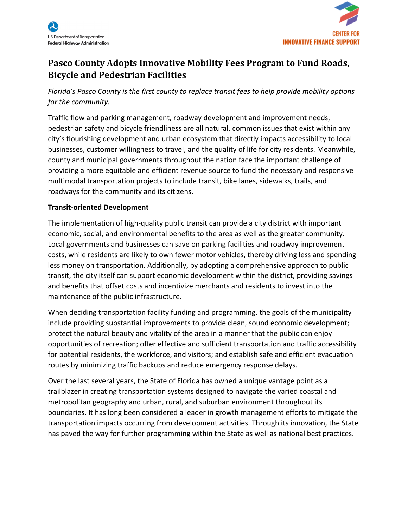



# **Pasco County Adopts Innovative Mobility Fees Program to Fund Roads, Bicycle and Pedestrian Facilities**

*Florida's Pasco County is the first county to replace transit fees to help provide mobility options for the community.*

Traffic flow and parking management, roadway development and improvement needs, pedestrian safety and bicycle friendliness are all natural, common issues that exist within any city's flourishing development and urban ecosystem that directly impacts accessibility to local businesses, customer willingness to travel, and the quality of life for city residents. Meanwhile, county and municipal governments throughout the nation face the important challenge of providing a more equitable and efficient revenue source to fund the necessary and responsive multimodal transportation projects to include transit, bike lanes, sidewalks, trails, and roadways for the community and its citizens.

# **Transit-oriented Development**

The implementation of high-quality public transit can provide a city district with important economic, social, and environmental benefits to the area as well as the greater community. Local governments and businesses can save on parking facilities and roadway improvement costs, while residents are likely to own fewer motor vehicles, thereby driving less and spending less money on transportation. Additionally, by adopting a comprehensive approach to public transit, the city itself can support economic development within the district, providing savings and benefits that offset costs and incentivize merchants and residents to invest into the maintenance of the public infrastructure.

When deciding transportation facility funding and programming, the goals of the municipality include providing substantial improvements to provide clean, sound economic development; protect the natural beauty and vitality of the area in a manner that the public can enjoy opportunities of recreation; offer effective and sufficient transportation and traffic accessibility for potential residents, the workforce, and visitors; and establish safe and efficient evacuation routes by minimizing traffic backups and reduce emergency response delays.

Over the last several years, the State of Florida has owned a unique vantage point as a trailblazer in creating transportation systems designed to navigate the varied coastal and metropolitan geography and urban, rural, and suburban environment throughout its boundaries. It has long been considered a leader in growth management efforts to mitigate the transportation impacts occurring from development activities. Through its innovation, the State has paved the way for further programming within the State as well as national best practices.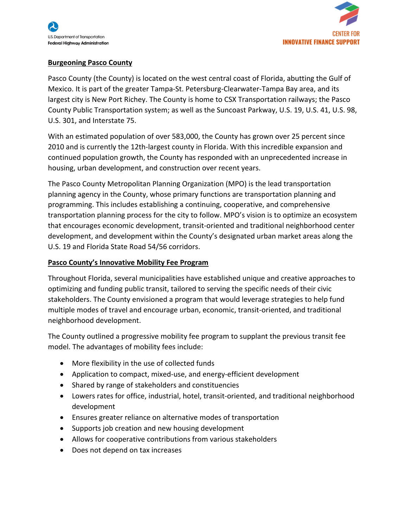



### **Burgeoning Pasco County**

Pasco County (the County) is located on the west central coast of Florida, abutting the Gulf of Mexico. It is part of the greater Tampa-St. Petersburg-Clearwater-Tampa Bay area, and its largest city is New Port Richey. The County is home to CSX Transportation railways; the Pasco County Public Transportation system; as well as the Suncoast Parkway, U.S. 19, U.S. 41, U.S. 98, U.S. 301, and Interstate 75.

With an estimated population of over 583,000, the County has grown over 25 percent since 2010 and is currently the 12th-largest county in Florida. With this incredible expansion and continued population growth, the County has responded with an unprecedented increase in housing, urban development, and construction over recent years.

The Pasco County Metropolitan Planning Organization (MPO) is the lead transportation planning agency in the County, whose primary functions are transportation planning and programming. This includes establishing a continuing, cooperative, and comprehensive transportation planning process for the city to follow. MPO's vision is to optimize an ecosystem that encourages economic development, transit-oriented and traditional neighborhood center development, and development within the County's designated urban market areas along the U.S. 19 and Florida State Road 54/56 corridors.

### **Pasco County's Innovative Mobility Fee Program**

Throughout Florida, several municipalities have established unique and creative approaches to optimizing and funding public transit, tailored to serving the specific needs of their civic stakeholders. The County envisioned a program that would leverage strategies to help fund multiple modes of travel and encourage urban, economic, transit-oriented, and traditional neighborhood development.

The County outlined a progressive mobility fee program to supplant the previous transit fee model. The advantages of mobility fees include:

- More flexibility in the use of collected funds
- Application to compact, mixed-use, and energy-efficient development
- Shared by range of stakeholders and constituencies
- Lowers rates for office, industrial, hotel, transit-oriented, and traditional neighborhood development
- Ensures greater reliance on alternative modes of transportation
- Supports job creation and new housing development
- Allows for cooperative contributions from various stakeholders
- Does not depend on tax increases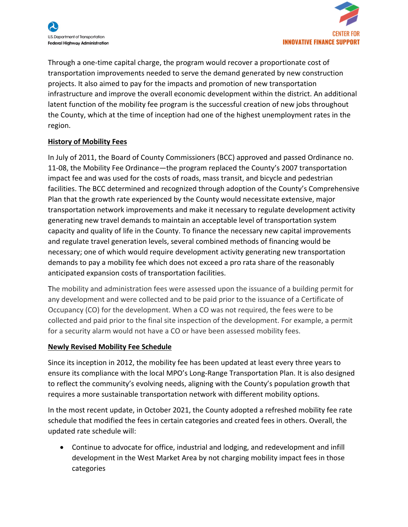



Through a one-time capital charge, the program would recover a proportionate cost of transportation improvements needed to serve the demand generated by new construction projects. It also aimed to pay for the impacts and promotion of new transportation infrastructure and improve the overall economic development within the district. An additional latent function of the mobility fee program is the successful creation of new jobs throughout the County, which at the time of inception had one of the highest unemployment rates in the region.

#### **History of Mobility Fees**

In July of 2011, the Board of County Commissioners (BCC) approved and passed Ordinance no. 11-08, the Mobility Fee Ordinance—the program replaced the County's 2007 transportation impact fee and was used for the costs of roads, mass transit, and bicycle and pedestrian facilities. The BCC determined and recognized through adoption of the County's Comprehensive Plan that the growth rate experienced by the County would necessitate extensive, major transportation network improvements and make it necessary to regulate development activity generating new travel demands to maintain an acceptable level of transportation system capacity and quality of life in the County. To finance the necessary new capital improvements and regulate travel generation levels, several combined methods of financing would be necessary; one of which would require development activity generating new transportation demands to pay a mobility fee which does not exceed a pro rata share of the reasonably anticipated expansion costs of transportation facilities.

The mobility and administration fees were assessed upon the issuance of a building permit for any development and were collected and to be paid prior to the issuance of a Certificate of Occupancy (CO) for the development. When a CO was not required, the fees were to be collected and paid prior to the final site inspection of the development. For example, a permit for a security alarm would not have a CO or have been assessed mobility fees.

#### **Newly Revised Mobility Fee Schedule**

Since its inception in 2012, the mobility fee has been updated at least every three years to ensure its compliance with the local MPO's Long-Range Transportation Plan. It is also designed to reflect the community's evolving needs, aligning with the County's population growth that requires a more sustainable transportation network with different mobility options.

In the most recent update, in October 2021, the County adopted a refreshed mobility fee rate schedule that modified the fees in certain categories and created fees in others. Overall, the updated rate schedule will:

• Continue to advocate for office, industrial and lodging, and redevelopment and infill development in the West Market Area by not charging mobility impact fees in those categories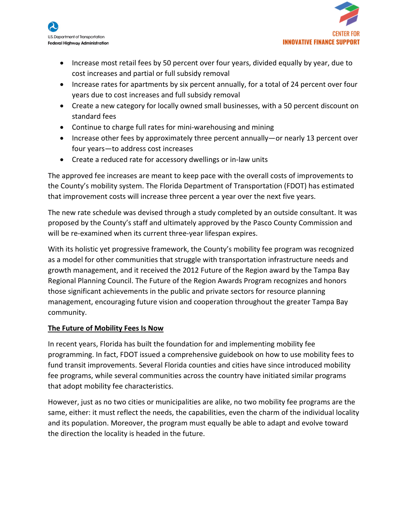



- Increase most retail fees by 50 percent over four years, divided equally by year, due to cost increases and partial or full subsidy removal
- Increase rates for apartments by six percent annually, for a total of 24 percent over four years due to cost increases and full subsidy removal
- Create a new category for locally owned small businesses, with a 50 percent discount on standard fees
- Continue to charge full rates for mini-warehousing and mining
- Increase other fees by approximately three percent annually—or nearly 13 percent over four years—to address cost increases
- Create a reduced rate for accessory dwellings or in-law units

The approved fee increases are meant to keep pace with the overall costs of improvements to the County's mobility system. The Florida Department of Transportation (FDOT) has estimated that improvement costs will increase three percent a year over the next five years.

The new rate schedule was devised through a study completed by an outside consultant. It was proposed by the County's staff and ultimately approved by the Pasco County Commission and will be re-examined when its current three-year lifespan expires.

With its holistic yet progressive framework, the County's mobility fee program was recognized as a model for other communities that struggle with transportation infrastructure needs and growth management, and it received the 2012 Future of the Region award by the Tampa Bay Regional Planning Council. The Future of the Region Awards Program recognizes and honors those significant achievements in the public and private sectors for resource planning management, encouraging future vision and cooperation throughout the greater Tampa Bay community.

# **The Future of Mobility Fees Is Now**

In recent years, Florida has built the foundation for and implementing mobility fee programming. In fact, FDOT issued a comprehensive guidebook on how to use mobility fees to fund transit improvements. Several Florida counties and cities have since introduced mobility fee programs, while several communities across the country have initiated similar programs that adopt mobility fee characteristics.

However, just as no two cities or municipalities are alike, no two mobility fee programs are the same, either: it must reflect the needs, the capabilities, even the charm of the individual locality and its population. Moreover, the program must equally be able to adapt and evolve toward the direction the locality is headed in the future.